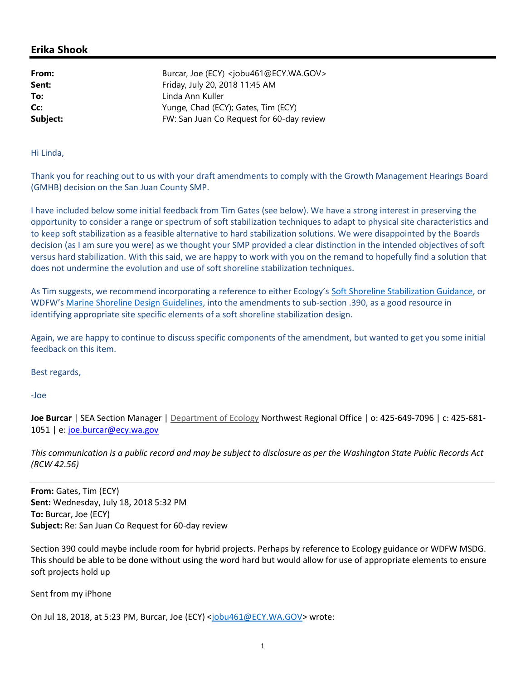## Erika Shook

**From:** Burcar, Joe (ECY) <jobu461@ECY.WA.GOV> **Sent:** Friday, July 20, 2018 11:45 AM To: Linda Ann Kuller **Cc:** Yunge, Chad (ECY); Gates, Tim (ECY) **Subject:** FW: San Juan Co Request for 60-day review

Hi Linda,

Thank you for reaching out to us with your draft amendments to comply with the Growth Management Hearings Board (GMHB) decision on the San Juan County SMP.

I have included below some initial feedback from Tim Gates (see below). We have a strong interest in preserving the opportunity to consider a range or spectrum of soft stabilization techniques to adapt to physical site characteristics and to keep soft stabilization as a feasible alternative to hard stabilization solutions. We were disappointed by the Boards decision (as I am sure you were) as we thought your SMP provided a clear distinction in the intended objectives of soft versus hard stabilization. With this said, we are happy to work with you on the remand to hopefully find a solution that does not undermine the evolution and use of soft shoreline stabilization techniques.

As Tim suggests, we recommend incorporating a reference to either Ecology's Soft Shoreline Stabilization Guidance, or WDFW's Marine Shoreline Design Guidelines, into the amendments to sub-section .390, as a good resource in identifying appropriate site specific elements of a soft shoreline stabilization design.

Again, we are happy to continue to discuss specific components of the amendment, but wanted to get you some initial feedback on this item.

Best regards,

-Joe

Joe Burcar | SEA Section Manager | Department of Ecology Northwest Regional Office | o: 425-649-7096 | c: 425-681- 1051 | e: joe.burcar@ecy.wa.gov

This communication is a public record and may be subject to disclosure as per the Washington State Public Records Act (RCW 42.56)

From: Gates, Tim (ECY) Sent: Wednesday, July 18, 2018 5:32 PM To: Burcar, Joe (ECY) Subject: Re: San Juan Co Request for 60-day review

Section 390 could maybe include room for hybrid projects. Perhaps by reference to Ecology guidance or WDFW MSDG. This should be able to be done without using the word hard but would allow for use of appropriate elements to ensure soft projects hold up

Sent from my iPhone

On Jul 18, 2018, at 5:23 PM, Burcar, Joe (ECY) <jobu461@ECY.WA.GOV> wrote: